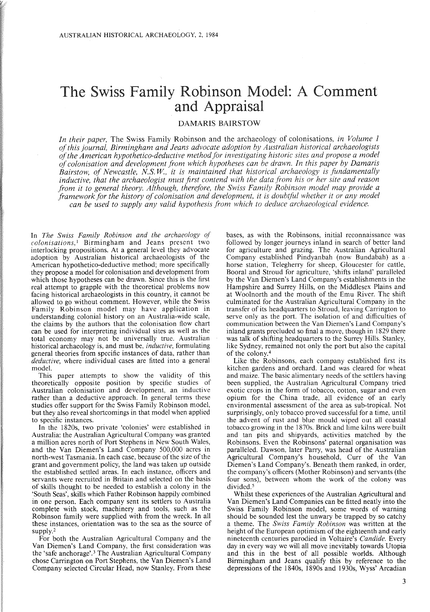# The Swiss Family Robinson Model: A Comment and Appraisal

# DAMARIS BAIRSTOW

*In their paper,* The Swiss Family Robinson and the archaeology of colonisations, *in Volume 1 ofthis journal, Birmingham and Jeans advocate adoption by Australian historical archaeologists ofthe American hypothetico-deductive method for investigating historic sites and propose a model ofcolonisation and development from which hypotheses can be drawn. In this paper by Damaris Bairstow, of Newcastle, NiS. W, it is maintained that historical archaeology is fundamentally inductive, that the archaeologist must first contend with the data from his or her site and reason from it to general theory. Although, therefore, the Swiss Family Robinson model may provide a framework for the history ofcolonisation and development, it is doubtful whether it or any model can be used to supply any valid hypothesis from which to deduce archaeological evidence.*

In *The Swiss Family Robinson and the archaeology of colonisations,'* Birmingham and Jeans present two interlocking propositions. At a general level they advocate adoption by Australian historical archaeologists of the American hypothetico-deductive method; more specifically they propose a model for colonisation and development from which those hypotheses can be drawn. Since this is the first real attempt to grapple with the theoretical problems now facing historical archaeologists in this country, it cannot be allowed to go without comment. However, while the Swiss Family Robinson model may have application in understanding colonial history on an Australia-wide scale, the claims by the authors that the colonisation flow chart can be used for interpreting individual sites as well as the total economy may not be universally true. Australian historical archaeology is, and must be, *inductive,* formulating general theories from specific instances of data, rather than *deductive,* where individual cases are fitted into a general model.

This paper attempts to show the validity of this theoretically opposite position by specific studies of Australian colonisation and development, an inductive rather than a deductive approach. In general terms these studies offer support for the Swiss Family Robinson model, but they also reveal shortcomings in that model when applied to specific instances.

In the l820s, two private 'colonies' were established in Australia: the Australian Agricultural Company was granted a million acres north of Port Stephens in New South Wales, and the Van Diemen's Land Company 500,000 acres in north-west Tasmania. In each case, because of the size of the grant and government policy, the land was taken up outside the established settled areas. In each instance, officers and servants were recruited in Britain and selected on the basis of skills thought to be needed to establish a colony in the 'South Seas', skills which Father Robinson happily combined in one person. Each company sent its settlers to Australia complete with stock, machinery and tools, such as the Robinson family were supplied with from the wreck. In all these instances, orientation was to the sea as the source of supply.<sup>2</sup>

For both the Australian Agricultural Company and the Van Diemen's Land Company, the first consideration was the 'safe anchorage'.<sup>3</sup> The Australian Agricultural Company chose Carrington on Port Stephens, the Van Diemen's Land Company selected Circular Head, now Stanley. From these

bases, as with the Robinsons, initial reconnaissance was followed by longer journeys inland in search of better land for agriculture and grazing. The Australian Agricultural Company established Pindyanbah (now Bundabah) as a . horse station, Telegherry for sheep, Gloucester for cattle, Booral and Stroud for agriculture, 'shifts inland' paralleled by the Van Diemen's Land Company's establishments in the Hampshire and Surrey Hills, on the Middlesex Plains and at Woolnorth and the mouth of the Emu River. The shift culminated for the Australian Agricultural Company in the transfer of its headquarters to Stroud, leaving Carrington to serve only as the port. The isolation of and difficulties of communication between the Van Diemen's Land Company's inland grants precluded so final a move, though in 1829 there was talk of shifting headquarters to the Surrey Hills. Stanley, like Sydney, remained not only the port but also the capital of the colony.<sup>4</sup>

Like the Robinsons, each company established first its kitchen gardens and orchard. Land was cleared for wheat and maize. The basic alimentary needs of the settlers having been supplied, the Australian Agricultural Company tried exotic crops in the form of tobacco, cotton, sugar and even opium for the China trade, all evidence of an early environmental assessment of the area as sub-tropical. Not surprisingly, only tobacco proved successful for a time, until the advent of rust and blue mould wiped out all coastal tobacco growing in the l870s. Brick and lime kilns were built and tan pits and shipyards, activities matched by the Robinsons. Even the Robinsons' paternal organisation was paralleled. Dawson, later Parry, was head of the Australian Agricultural Company's household, Curr of the Van Diemen's Land Company's. Beneath them ranked, in order, the company's officers (Mother Robinson) and servants (the four sons), between whom the work of the colony was divided.<sup>5</sup>

Whilst these experiences of the Australian Agricultural and Van Diemen's Land Companies can be fitted neatly into the Swiss Family Robinson model, some words of warning should be sounded lest the unwary be trapped by so catchy a theme. The *Swiss Family Robinson* was written at the height of the European optimism of the eighteenth and early nineteenth centuries parodied in Voltaire's *Candide.* Every day in every way we will all move inevitably towards Utopia and this in the best of all possible worlds. Although Birmingham and Jeans qualify this by reference to the depressions of the l840s, l890s and 1930s, Wyss' Arcadian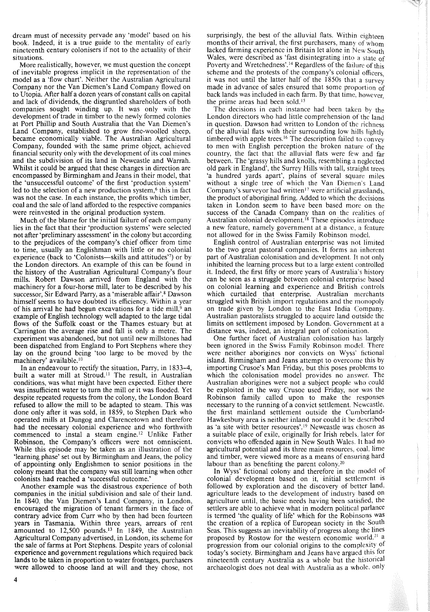dream must of necessity pervade any 'model' based on his book. Indeed, it is a true guide to the mentality of early nineteenth century colonisers if not to the actuality of their situations.

More realistically, however, we must question the concept of inevitable progress implicit in the representation of the model as a 'flow chart'. Neither the Australian Agricultural Company nor the Van Diemen's Land Company flowed on to Utopia. After half a dozen years of constant calls on capital and lack of dividends, the disgruntled shareholders of both companies sought winding up. It was only with the development of trade in timber to the newly formed colonies at Port Phillip and South Australia that the Van Diemen's Land Company, established to grow fine-woolled sheep, became economically viable. The Australian Agricultural Company, founded with the same prime object, achieved financial security only with the development of its coal mines and the subdivision of its land in Newcastle and Warrah, Whilst it could be argued that these changes in direction are encompassed by Birmingham and Jeans in their model, that the 'unsuccessful outcome' of the first 'production system' led to the selection of a new production system.<sup> $6$ </sup> this in fact was not the case. In each instance, the profits which timber, coal and the sale of land afforded to the respective companies were reinvested in the original production system.

Much of the blame for the initial failure of each company lies in the fact that their 'production systems' were selected not after 'preliminary assessment' in the colony but according to the prejudices of the company's chief officer from time to time, usually an Englishman with little or no colonial experience (back to 'Colonists—skills and attitudes'') or by the London directors. An example of this can be found in the history of the Australian Agricultural Company's flour mills. Robert Dawson arrived from England with the machinery for a four-horse mill, later to be described by his successor, Sir Edward Parry, as a 'miserable affair'.<sup>8</sup> Dawson himself seems to have doubted its efficiency. Within a year of his arrival he had begun excavations for a tide mill, $9$  an example of English technology well adapted to the large tidal flows of the Suffolk coast or the Thames estuary but at Carrington the average rise and fall is only a metre. The experiment was abandoned, but not until new millstones had been dispatched from England to Port Stephens where they lay on the ground being 'too large to be moved by the machinery' available.<sup>10</sup>

In an endeavour to rectify the situation, Parry, in 1833-4, built a water mill at Stroud.<sup>11</sup> The result, in Australian conditions, was what might have been expected. Either there was insufficient water to turn the mill or it was flooded. Yet despite repeated requests from the colony, the London Board refused to allow the mill to be adapted to steam. This was done only after it was sold, in 1859, to Stephen Dark who operated mills at Dungog and Clarencetown and therefore had the necessary colonial experience and who forthwith commenced to instal a steam engine.'? Unlike Father Robinson, the Company's officers were not omniscient. While this episode may be taken as an illustration of the 'learning phase' set out by Birmingham and Jeans, the policy of appointing only Englishmen to senior positions in the colony meant that the company was still learning when other colonists had reached a 'successful outcome.'

Another example was the disastrous experience of both companies in the initial subdivision and sale of their land. In 1840, the Van Diemen's Land Company, in London, encouraged the migration of tenant farmers in the face of contrary advice from Curr who by then had been fourteen years in Tasmania. Within three years, arrears of rent amounted to  $12,500$  pounds.<sup>13</sup> In 1849, the Australian Agricultural Company advertised, in London, its scheme for the sale of farms at Port Stephens. Despite years of colonial experience and government regulations which required back lands to be taken in proportion to water frontages, purchasers were allowed to choose land at will and they chose, not surprisingly, the best of the alluvial flats. Within eighteen months of their arrival, the first purchasers, many of whom lacked farming experience in Britain let alone in New South Wales, were described as 'fast disintegrating into a state of Poverty and Wretchedness'.<sup>14</sup> Regardless of the failure of this scheme and the protests of the company's colonial officers. it was not until the latter half of the 1850s that a survey made in advance of sales ensured that some proportion of back lands was included in each farm. By that time, however the prime areas had been sold.<sup>15</sup>

The decisions in each instance had been taken by the London directors who had little comprehension of the land in question. Dawson had written to London of the richness of the alluvial flats with their surrounding low hills lightly timbered with apple trees.<sup>16</sup> The description failed to convey to men with English perception the broken nature of the country, the fact that the alluvial flats were few and far between. The 'grassy hills and knolls, resembling a neglected old park in England', the Surrey Hills with tall, straight trees 'a hundred yards apart', plains of several square miles without a single tree of which the Van Diemen's Land Company's surveyor had written<sup>17</sup> were artificial grasslands. the product of aboriginal firing. Added to which the decisions taken in London seem to have been based more on the success of the Canada Company than on the realities of Australian colonial development.<sup>18</sup> These episodes introduce a new feature, namely government at a distance, a feature not allowed for in the Swiss Family Robinson model.

English control of Australian enterprise was not limited to the two great pastoral companies. It forms an inherent part of Australian colonisation and development. It not only inhibited the learning process but to a large extent controlled it. Indeed, the first fifty or more years of Australia's history can be seen as a struggle between colonial enterprise based on colonial learning and experience and British controls which curtailed that enterprise. Australian merchants struggled with British import regulations and the monopoly on trade given by London to the East India Company. Australian pastoralists struggled to acquire land outside the limits on settlement imposed by London. Government at a distance was, indeed, an integral part of colonisation.

One further facet of Australian colonisation has largely been ignored in the Swiss Family Robinson model. There were neither aborigines nor convicts on Wyss' fictional island. Birmingham and Jeans attempt to overcome this by importing Crusoe's Man Friday, but this poses problems to which the colonisation model provides no answer. The Australian aborigines were not a subject people who could be exploited in the way Crusoe used Friday, nor was the Robinson family called upon to make the responses necessary to the running of a convict settlement. Newcastle, the first mainland settlement outside the Cumberiand-Hawkesbury area is neither inland nor could it be described as 'a site with better resources'.<sup>19</sup> Newcastle was chosen as a suitable place of exile, originally for Irish rebels, later for convicts who offended again in New South Wales. It had no agricultural potential and its three main resources, coal, lime and timber, were viewed more as a means of ensuring hard labour than as benefiting the parent colony.<sup>20</sup>

In Wyss' fictional colony and therefore in the model of colonial development based on it, initial settlement is followed by exploration and the discovery of better land, agriculture leads to the development of industry based on agriculture until, the basic needs having been satisfied, the settlers are able to achieve what in modern political parlance is termed 'the quality of life' which for the Robinsons was the creation of a replica of European society in the South Seas. This suggests an inevitability of progress along the lines proposed by Rostow for the western economic world,<sup>21</sup> a progression from our colonial origins to the complexity of today's society. Birmingham and Jeans have argued this for nineteenth century Australia as a whole but the historical archaeologist does not deal with Australia as a whole, only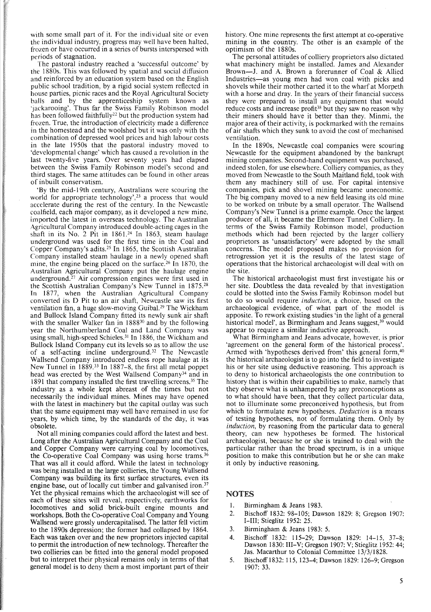with some small part of it. For the individual site or even the individual industry, progress may well have been halted, frozen or have occurred in a series of bursts interspersed with periods of stagnation.

The pastoral industry reached a 'successful outcome' by the 1880s. This was followed by spatial and social diffusion and reinforced by an education system based on the English public school tradition, by a rigid social system reflected in house parties, picnic races and the Royal Agricultural Society balls and by the apprenticeship system known as 'jackarooing'. Thus far the Swiss Family Robinson model has been followed faithfully<sup>22</sup> but the production system had frozen. True, the introduction of electricity made a difference in the homestead and the woolshed but it was only with the combination of depressed wool prices and high labour costs in the late 1950s that the pastoral industry moved to 'developmental change' which has caused a revolution in the last twenty-five years. Over seventy years had elapsed between the Swiss Family Robinson model's second and third stages. The same attitudes can be found in other areas of inbuilt conservatism.

'By the mid-19th century, Australians were scouring the world for appropriate technology',<sup>23</sup> a process that would accelerate during the rest of the century. In the Newcastle coalfield, each major company, as it developed a new mine, imported the latest in overseas technology. The Australian Agricultural Company introduced double-acting cages in the shaft in its No. 2 Pit in 1861.24 In 1863, steam haulage underground was used for the first time in the Coal and Copper Company's adits.<sup>25</sup> In 1865, the Scottish Australian Company installed steam haulage in a newly opened shaft mine, the engine being placed on the surface.<sup>26</sup> In 1870, the Australian Agricultural Company put the haulage engine underground.<sup>27</sup> Air compression engines were first used in the Scottish Australian Company's New Tunnel in 1875.28 In 1877, when the Australian Agricultural Company converted its D Pit to an air shaft, Newcastle saw its first ventilation fan, a huge slow-moving Guibal.<sup>29</sup> The Wickham and Bullock Island Company fitted its newly sunk air shaft with the smaller Walker fan in 1888<sup>30</sup> and by the following year the Northumberland Coal and Land Company was using small, high-speed Schieles.<sup>31</sup> In 1886, the Wickham and Bullock Island Company cut its levels so as to allow the use of a self-acting incline underground.<sup>32</sup> The Newcastle Wallsend Company introduced endless rope haulage at its New Tunnel in 1889.<sup>33</sup> In 1887-8, the first all metal poppet head was erected by the West Wallsend Company<sup>34</sup> and in 1891 that company installed the first travelling screens.<sup>35</sup> The industry as a whole kept abreast of the times but not necessarily the individual mines. Mines may have opened with the latest in machinery but the capital outlay was such that the same equipment may well have remained in use for years, by which time, by the standards of the day, it was obsolete.

Not all mining companies could afford the latest and best. Long after the Australian Agricultural Company and the Coal and Copper Company were carrying coal by locomotives, the Co-operative Coal Company was using horse trams.<sup>36</sup> That was all it could afford. While the latest in technology was being installed at the large collieries, the Young Wallsend Company was building its first surface structures, even its engine base, out of locally cut timber and galvanised iron.<sup>37</sup> Yet the physical remains which the archaeologist will see of each of these sites will reveal, respectively, earthworks for locomotives and solid brick-built engine mounts and workshops. Both the Co-operative Coal Company and Young Wallsend were grossly undercapitalised. The latter fell victim to the 1890s depression; the former had collapsed by 1864. Each was taken over and the new proprietors injected capital to permit the introduction of new technology. Thereafter the two collieries can be fitted into the general model proposed but to interpret their physical remains only in terms of that general model is to deny them a most important part of their

history. One mine represents the first attempt at co-operative mining in the country. The other is an example of the optimism of the 1880s.

The personal attitudes of colliery proprietors also dictated what machinery might be installed. James and Alexander Brown-J. and A. Brown a forerunner of Coal & Allied Industries-as young men had won coal with picks and shovels while their mother carted it to the wharf at Morpeth with a horse and dray. In the years of their financial success they were prepared to install any equipment that would reduce costs and increase profit<sup>38</sup> but they saw no reason why their miners should have it better than they. Minmi, the major area of their activity, is pockmarked with the remains of air shafts which they sunk to avoid the cost of mechanised ventilation.

In the 1890s, Newcastle coal companies were scouring Newcastle for the equipment abandoned by the bankrupt mining companies. Second-hand equipment was purchased, indeed stolen, for use elsewhere. Colliery companies, as they moved from Newcastle to the South Maitland field, took with them any machinery still of use. For capital intensive companies, pick and shovel mining became uneconomic. The big company moved to a new field leasing its old mine to be worked on tribute by a small operator. The Wallsend Company's New Tunnel is a prime example. Once the largest producer of all, it became the Elermore Tunnel Colliery. In terms of the Swiss Family Robinson model, production methods which had been rejected by the larger colliery proprietors as 'unsatisfactory' were adopted by the small concerns. The model proposed makes no provision for retrogression yet it is the results of the latest stage of operations that the historical archaeologist will deal with on the site.

The historical archaeologist must first investigate his or her site. Doubtless the data revealed by that investigation could be slotted into the Swiss Family Robinson model but to do so would require *induction,* a choice, based on the archaeological evidence, of what part of the model is apposite. To rework existing studies 'in the light of a general historical model', as Birmingham and Jeans suggest, $39$  would appear to require a similar inductive approach.

What Birmingham and Jeans advocate, however, is prior 'agreement on the general form of the historical process'. Armed with 'hypotheses derived from' this general form,<sup>40</sup> the historical archaeologist is to go into the field to investigate his or her site using deductive reasoning. This approach is to deny to historical archaeologists the one contribution to history that is within their capabilities to make, namely that they observe what is unhampered by any preconceptions as to what should have been, that they collect particular data, not to illuminate some preconceived hypothesis, but from which to formulate new hypotheses. *Deduction* is a means of testing hypotheses, not of formulating them. Only by *induction,* by reasoning from the particular data to general theory, can new hypotheses be formed. The historical archaeologist, because he or she is trained to deal with the particular rather than the broad spectrum, is in a unique position to make this contribution but he or she can make it only by inductive reasoning.

# NOTES

- 1. Birmingham & Jeans 1983.
- 2. Bischoff 1832: 98-105; Dawson 1829: 8; Gregson 1907: I-III; Stieglitz 1952: 25.
- 3. Birmingham & Jeans 1983: 5.
- 4. Bischoff 1832: 115-29; Dawson 1829: 14-15, 37-8; Dawson 1830: III-V; Gregson 1907: V; Stieglitz 1952: 44; Jas. Macarthur to Colonial Committee 13/3/1828.
- 5. Bischoff 1832: 115, 123-4; Dawson 1829: 126-9; Gregson 1907: 33.